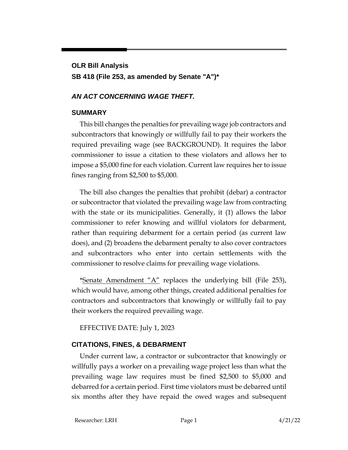# **OLR Bill Analysis SB 418 (File 253, as amended by Senate "A")\***

## *AN ACT CONCERNING WAGE THEFT.*

## **SUMMARY**

This bill changes the penalties for prevailing wage job contractors and subcontractors that knowingly or willfully fail to pay their workers the required prevailing wage (see BACKGROUND). It requires the labor commissioner to issue a citation to these violators and allows her to impose a \$5,000 fine for each violation. Current law requires her to issue fines ranging from \$2,500 to \$5,000.

The bill also changes the penalties that prohibit (debar) a contractor or subcontractor that violated the prevailing wage law from contracting with the state or its municipalities. Generally, it (1) allows the labor commissioner to refer knowing and willful violators for debarment, rather than requiring debarment for a certain period (as current law does), and (2) broadens the debarment penalty to also cover contractors and subcontractors who enter into certain settlements with the commissioner to resolve claims for prevailing wage violations.

\*Senate Amendment " $A$ " replaces the underlying bill (File 253), which would have, among other things, created additional penalties for contractors and subcontractors that knowingly or willfully fail to pay their workers the required prevailing wage.

EFFECTIVE DATE: July 1, 2023

## **CITATIONS, FINES, & DEBARMENT**

Under current law, a contractor or subcontractor that knowingly or willfully pays a worker on a prevailing wage project less than what the prevailing wage law requires must be fined \$2,500 to \$5,000 and debarred for a certain period. First time violators must be debarred until six months after they have repaid the owed wages and subsequent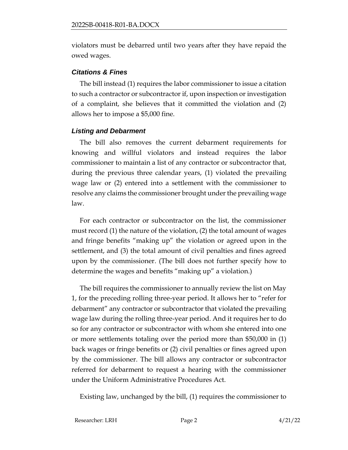violators must be debarred until two years after they have repaid the owed wages.

#### *Citations & Fines*

The bill instead (1) requires the labor commissioner to issue a citation to such a contractor or subcontractor if, upon inspection or investigation of a complaint, she believes that it committed the violation and (2) allows her to impose a \$5,000 fine.

#### *Listing and Debarment*

The bill also removes the current debarment requirements for knowing and willful violators and instead requires the labor commissioner to maintain a list of any contractor or subcontractor that, during the previous three calendar years, (1) violated the prevailing wage law or (2) entered into a settlement with the commissioner to resolve any claims the commissioner brought under the prevailing wage law.

For each contractor or subcontractor on the list, the commissioner must record (1) the nature of the violation, (2) the total amount of wages and fringe benefits "making up" the violation or agreed upon in the settlement, and (3) the total amount of civil penalties and fines agreed upon by the commissioner. (The bill does not further specify how to determine the wages and benefits "making up" a violation.)

The bill requires the commissioner to annually review the list on May 1, for the preceding rolling three-year period. It allows her to "refer for debarment" any contractor or subcontractor that violated the prevailing wage law during the rolling three-year period. And it requires her to do so for any contractor or subcontractor with whom she entered into one or more settlements totaling over the period more than \$50,000 in (1) back wages or fringe benefits or (2) civil penalties or fines agreed upon by the commissioner. The bill allows any contractor or subcontractor referred for debarment to request a hearing with the commissioner under the Uniform Administrative Procedures Act.

Existing law, unchanged by the bill, (1) requires the commissioner to